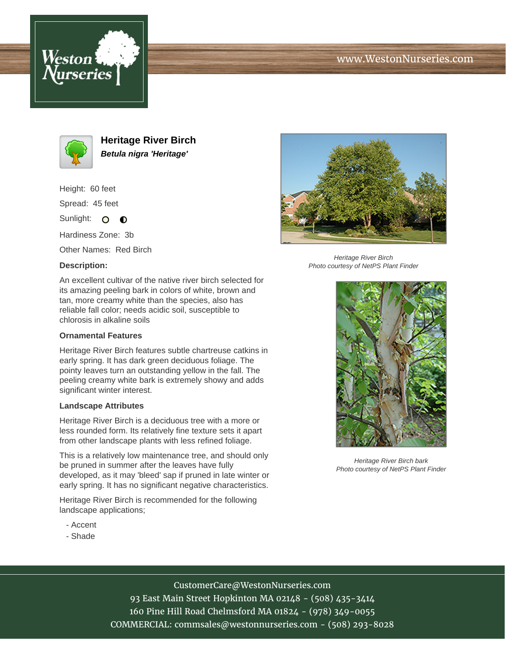





**Heritage River Birch Betula nigra 'Heritage'**

Height: 60 feet

Spread: 45 feet

Sunlight: O **O** 

Hardiness Zone: 3b

Other Names: Red Birch

## **Description:**



Heritage River Birch Photo courtesy of NetPS Plant Finder

An excellent cultivar of the native river birch selected for its amazing peeling bark in colors of white, brown and tan, more creamy white than the species, also has reliable fall color; needs acidic soil, susceptible to chlorosis in alkaline soils

#### **Ornamental Features**

Heritage River Birch features subtle chartreuse catkins in early spring. It has dark green deciduous foliage. The pointy leaves turn an outstanding yellow in the fall. The peeling creamy white bark is extremely showy and adds significant winter interest.

#### **Landscape Attributes**

Heritage River Birch is a deciduous tree with a more or less rounded form. Its relatively fine texture sets it apart from other landscape plants with less refined foliage.

This is a relatively low maintenance tree, and should only be pruned in summer after the leaves have fully developed, as it may 'bleed' sap if pruned in late winter or early spring. It has no significant negative characteristics.

Heritage River Birch is recommended for the following landscape applications;

- Accent
- Shade



Heritage River Birch bark Photo courtesy of NetPS Plant Finder

# CustomerCare@WestonNurseries.com

93 East Main Street Hopkinton MA 02148 - (508) 435-3414 160 Pine Hill Road Chelmsford MA 01824 - (978) 349-0055 COMMERCIAL: commsales@westonnurseries.com - (508) 293-8028